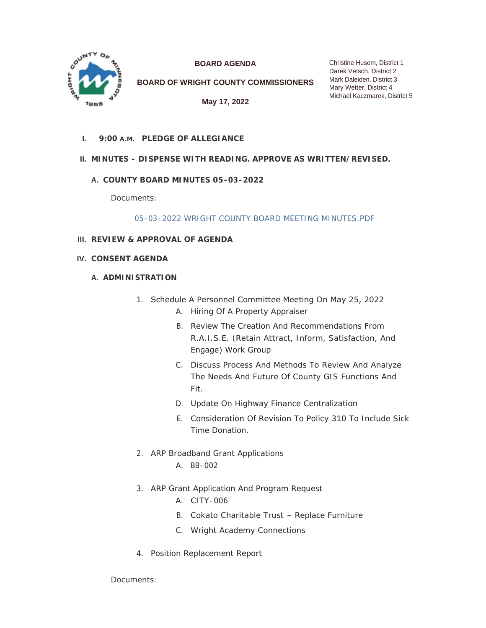

**BOARD AGENDA**

**BOARD OF WRIGHT COUNTY COMMISSIONERS**

**May 17, 2022**

Christine Husom, District 1 Darek Vetsch, District 2 Mark Daleiden, District 3 Mary Wetter, District 4 Michael Kaczmarek, District 5

**PLEDGE OF ALLEGIANCE I. 9:00 A.M.**

# **MINUTES - DISPENSE WITH READING. APPROVE AS WRITTEN/REVISED. II.**

# **COUNTY BOARD MINUTES 05-03-2022 A.**

Documents:

[05-03-2022 WRIGHT COUNTY BOARD MEETING MINUTES.PDF](https://www.co.wright.mn.us/AgendaCenter/ViewFile/Item/10671?fileID=23152)

- **REVIEW & APPROVAL OF AGENDA III.**
- **CONSENT AGENDA IV.**
	- **A. ADMINISTRATION** 
		- 1. Schedule A Personnel Committee Meeting On May 25, 2022
			- A. Hiring Of A Property Appraiser
			- B. Review The Creation And Recommendations From R.A.I.S.E. (Retain Attract, Inform, Satisfaction, And Engage) Work Group
			- C. Discuss Process And Methods To Review And Analyze The Needs And Future Of County GIS Functions And Fit.
			- D. Update On Highway Finance Centralization
			- E. Consideration Of Revision To Policy 310 To Include Sick Time Donation.
		- 2. ARP Broadband Grant Applications
			- A. BB-002
		- 3. ARP Grant Application And Program Request
			- A. CITY-006
			- B. Cokato Charitable Trust Replace Furniture
			- C. Wright Academy Connections
		- 4. Position Replacement Report

Documents: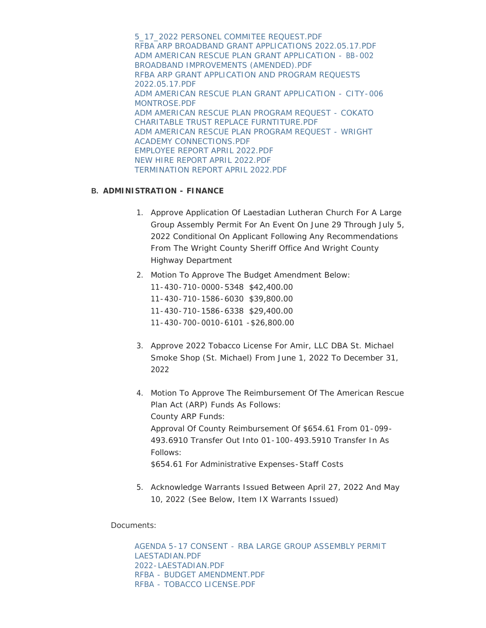[5\\_17\\_2022 PERSONEL COMMITEE REQUEST.PDF](https://www.co.wright.mn.us/AgendaCenter/ViewFile/Item/10685?fileID=23165) [RFBA ARP BROADBAND GRANT APPLICATIONS 2022.05.17.PDF](https://www.co.wright.mn.us/AgendaCenter/ViewFile/Item/10685?fileID=23158) [ADM AMERICAN RESCUE PLAN GRANT APPLICATION -](https://www.co.wright.mn.us/AgendaCenter/ViewFile/Item/10685?fileID=23159) BB-002 BROADBAND IMPROVEMENTS (AMENDED).PDF [RFBA ARP GRANT APPLICATION AND PROGRAM REQUESTS](https://www.co.wright.mn.us/AgendaCenter/ViewFile/Item/10685?fileID=23160)  2022.05.17.PDF [ADM AMERICAN RESCUE PLAN GRANT APPLICATION - CITY-006](https://www.co.wright.mn.us/AgendaCenter/ViewFile/Item/10685?fileID=23161)  MONTROSE PDF [ADM AMERICAN RESCUE PLAN PROGRAM REQUEST - COKATO](https://www.co.wright.mn.us/AgendaCenter/ViewFile/Item/10685?fileID=23162)  CHARITABLE TRUST REPLACE FURNTITURE.PDF [ADM AMERICAN RESCUE PLAN PROGRAM REQUEST - WRIGHT](https://www.co.wright.mn.us/AgendaCenter/ViewFile/Item/10685?fileID=23163)  ACADEMY CONNECTIONS.PDF [EMPLOYEE REPORT APRIL 2022.PDF](https://www.co.wright.mn.us/AgendaCenter/ViewFile/Item/10685?fileID=23168) [NEW HIRE REPORT APRIL 2022.PDF](https://www.co.wright.mn.us/AgendaCenter/ViewFile/Item/10685?fileID=23169) [TERMINATION REPORT APRIL 2022.PDF](https://www.co.wright.mn.us/AgendaCenter/ViewFile/Item/10685?fileID=23170)

# **ADMINISTRATION - FINANCE B.**

- 1. Approve Application Of Laestadian Lutheran Church For A Large Group Assembly Permit For An Event On June 29 Through July 5, 2022 Conditional On Applicant Following Any Recommendations From The Wright County Sheriff Office And Wright County Highway Department
- 2. Motion To Approve The Budget Amendment Below:

11-430-710-0000-5348 \$42,400.00 11-430-710-1586-6030 \$39,800.00 11-430-710-1586-6338 \$29,400.00 11-430-700-0010-6101 -\$26,800.00

- 3. Approve 2022 Tobacco License For Amir, LLC DBA St. Michael Smoke Shop (St. Michael) From June 1, 2022 To December 31, 2022
- 4. Motion To Approve The Reimbursement Of The American Rescue Plan Act (ARP) Funds As Follows: County ARP Funds: Approval Of County Reimbursement Of \$654.61 From 01-099- 493.6910 Transfer Out Into 01-100-493.5910 Transfer In As Follows: \$654.61 For Administrative Expenses-Staff Costs
- 5. Acknowledge Warrants Issued Between April 27, 2022 And May 10, 2022 *(See Below, Item IX Warrants Issued)*

Documents:

[AGENDA 5-17 CONSENT - RBA LARGE GROUP ASSEMBLY PERMIT](https://www.co.wright.mn.us/AgendaCenter/ViewFile/Item/10663?fileID=23096)  LAESTADIAN.PDF [2022-LAESTADIAN.PDF](https://www.co.wright.mn.us/AgendaCenter/ViewFile/Item/10663?fileID=23097) [RFBA - BUDGET AMENDMENT.PDF](https://www.co.wright.mn.us/AgendaCenter/ViewFile/Item/10663?fileID=23109) [RFBA - TOBACCO LICENSE.PDF](https://www.co.wright.mn.us/AgendaCenter/ViewFile/Item/10663?fileID=23143)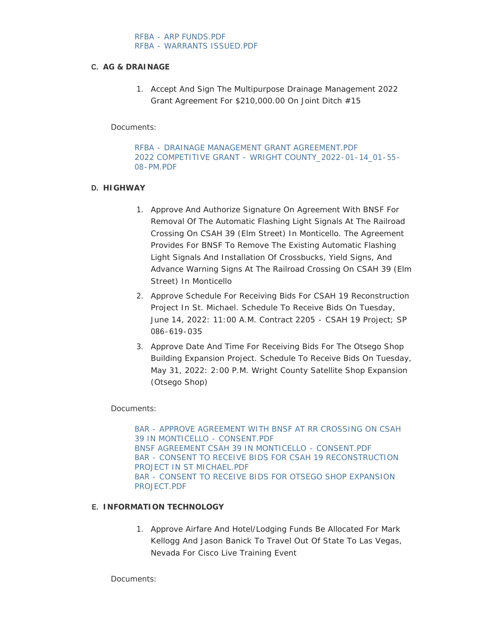# **AG & DRAINAGE C.**

1. Accept And Sign The Multipurpose Drainage Management 2022 Grant Agreement For \$210,000.00 On Joint Ditch #15

Documents:

[RFBA - DRAINAGE MANAGEMENT GRANT AGREEMENT.PDF](https://www.co.wright.mn.us/AgendaCenter/ViewFile/Item/10631?fileID=23106) [2022 COMPETITIVE GRANT - WRIGHT COUNTY\\_2022-01-14\\_01-55-](https://www.co.wright.mn.us/AgendaCenter/ViewFile/Item/10631?fileID=23063) 08-PM.PDF

# **HIGHWAY D.**

- 1. Approve And Authorize Signature On Agreement With BNSF For Removal Of The Automatic Flashing Light Signals At The Railroad Crossing On CSAH 39 (Elm Street) In Monticello. The Agreement Provides For BNSF To Remove The Existing Automatic Flashing Light Signals And Installation Of Crossbucks, Yield Signs, And Advance Warning Signs At The Railroad Crossing On CSAH 39 (Elm Street) In Monticello
- 2. Approve Schedule For Receiving Bids For CSAH 19 Reconstruction Project In St. Michael. Schedule To Receive Bids On Tuesday, June 14, 2022: 11:00 A.M. Contract 2205 - CSAH 19 Project; SP 086-619-035
- 3. Approve Date And Time For Receiving Bids For The Otsego Shop Building Expansion Project. Schedule To Receive Bids On Tuesday, May 31, 2022: 2:00 P.M. Wright County Satellite Shop Expansion (Otsego Shop)

## Documents:

[BAR - APPROVE AGREEMENT WITH BNSF AT RR CROSSING ON CSAH](https://www.co.wright.mn.us/AgendaCenter/ViewFile/Item/10680?fileID=23133)  39 IN MONTICELLO - CONSENT.PDF [BNSF AGREEMENT CSAH 39 IN MONTICELLO - CONSENT.PDF](https://www.co.wright.mn.us/AgendaCenter/ViewFile/Item/10680?fileID=23136) [BAR - CONSENT TO RECEIVE BIDS FOR CSAH 19 RECONSTRUCTION](https://www.co.wright.mn.us/AgendaCenter/ViewFile/Item/10680?fileID=23134)  PROJECT IN ST MICHAEL.PDF [BAR - CONSENT TO RECEIVE BIDS FOR OTSEGO SHOP EXPANSION](https://www.co.wright.mn.us/AgendaCenter/ViewFile/Item/10680?fileID=23135)  PROJECT.PDE

## **INFORMATION TECHNOLOGY E.**

1. Approve Airfare And Hotel/Lodging Funds Be Allocated For Mark Kellogg And Jason Banick To Travel Out Of State To Las Vegas, Nevada For Cisco Live Training Event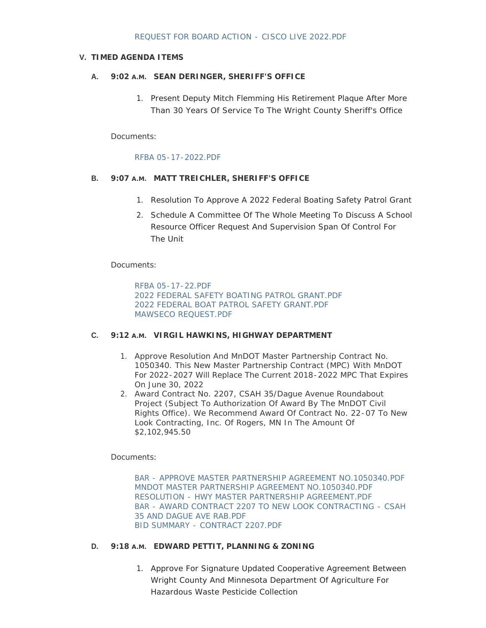### **TIMED AGENDA ITEMS V.**

## **SEAN DERINGER, SHERIFF'S OFFICE A. 9:02 A.M.**

1. Present Deputy Mitch Flemming His Retirement Plaque After More Than 30 Years Of Service To The Wright County Sheriff's Office

Documents:

#### [RFBA 05-17-2022.PDF](https://www.co.wright.mn.us/AgendaCenter/ViewFile/Item/10674?fileID=23110)

# **MATT TREICHLER, SHERIFF'S OFFICE B. 9:07 A.M.**

- 1. Resolution To Approve A 2022 Federal Boating Safety Patrol Grant
- 2. Schedule A Committee Of The Whole Meeting To Discuss A School Resource Officer Request And Supervision Span Of Control For The Unit

Documents:

[RFBA 05-17-22.PDF](https://www.co.wright.mn.us/AgendaCenter/ViewFile/Item/10676?fileID=23115) [2022 FEDERAL SAFETY BOATING PATROL GRANT.PDF](https://www.co.wright.mn.us/AgendaCenter/ViewFile/Item/10676?fileID=23116) [2022 FEDERAL BOAT PATROL SAFETY GRANT.PDF](https://www.co.wright.mn.us/AgendaCenter/ViewFile/Item/10676?fileID=23117) [MAWSECO REQUEST.PDF](https://www.co.wright.mn.us/AgendaCenter/ViewFile/Item/10676?fileID=23118)

### **VIRGIL HAWKINS, HIGHWAY DEPARTMENT C. 9:12 A.M.**

- 1. Approve Resolution And MnDOT Master Partnership Contract No. 1050340. This New Master Partnership Contract (MPC) With MnDOT For 2022-2027 Will Replace The Current 2018-2022 MPC That Expires On June 30, 2022
- 2. Award Contract No. 2207, CSAH 35/Dague Avenue Roundabout Project (Subject To Authorization Of Award By The MnDOT Civil Rights Office). We Recommend Award Of Contract No. 22-07 To New Look Contracting, Inc. Of Rogers, MN In The Amount Of \$2,102,945.50

Documents:

[BAR - APPROVE MASTER PARTNERSHIP AGREEMENT NO.1050340.PDF](https://www.co.wright.mn.us/AgendaCenter/ViewFile/Item/10679?fileID=23130) [MNDOT MASTER PARTNERSHIP AGREEMENT NO.1050340.PDF](https://www.co.wright.mn.us/AgendaCenter/ViewFile/Item/10679?fileID=23128) [RESOLUTION - HWY MASTER PARTNERSHIP AGREEMENT.PDF](https://www.co.wright.mn.us/AgendaCenter/ViewFile/Item/10679?fileID=23141) [BAR - AWARD CONTRACT 2207 TO NEW LOOK CONTRACTING - CSAH](https://www.co.wright.mn.us/AgendaCenter/ViewFile/Item/10679?fileID=23131)  35 AND DAGUE AVE RAB.PDF [BID SUMMARY - CONTRACT 2207.PDF](https://www.co.wright.mn.us/AgendaCenter/ViewFile/Item/10679?fileID=23132)

#### **D.** 9:18 A.M. EDWARD PETTIT, PLANNING & ZONING

1. Approve For Signature Updated Cooperative Agreement Between Wright County And Minnesota Department Of Agriculture For Hazardous Waste Pesticide Collection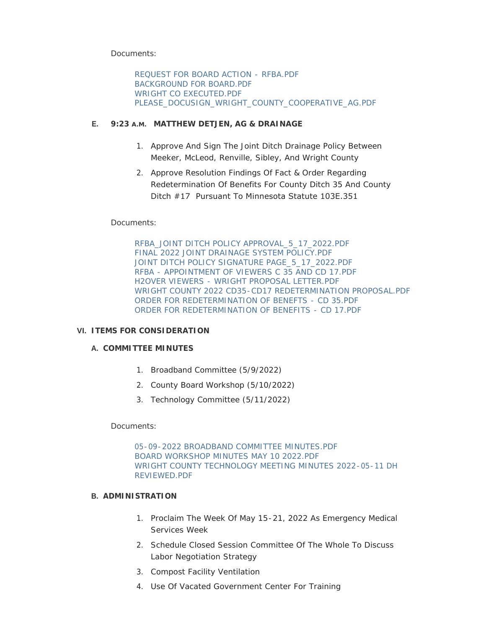Documents:

[REQUEST FOR BOARD ACTION - RFBA.PDF](https://www.co.wright.mn.us/AgendaCenter/ViewFile/Item/10675?fileID=23111) [BACKGROUND FOR BOARD.PDF](https://www.co.wright.mn.us/AgendaCenter/ViewFile/Item/10675?fileID=23112) [WRIGHT CO EXECUTED.PDF](https://www.co.wright.mn.us/AgendaCenter/ViewFile/Item/10675?fileID=23113) [PLEASE\\_DOCUSIGN\\_WRIGHT\\_COUNTY\\_COOPERATIVE\\_AG.PDF](https://www.co.wright.mn.us/AgendaCenter/ViewFile/Item/10675?fileID=23114)

# **MATTHEW DETJEN, AG & DRAINAGE E. 9:23 A.M.**

- 1. Approve And Sign The Joint Ditch Drainage Policy Between Meeker, McLeod, Renville, Sibley, And Wright County
- 2. Approve Resolution Findings Of Fact & Order Regarding Redetermination Of Benefits For County Ditch 35 And County Ditch #17 Pursuant To Minnesota Statute 103E.351

# Documents:

[RFBA\\_JOINT DITCH POLICY APPROVAL\\_5\\_17\\_2022.PDF](https://www.co.wright.mn.us/AgendaCenter/ViewFile/Item/10677?fileID=23119) [FINAL 2022 JOINT DRAINAGE SYSTEM POLICY.PDF](https://www.co.wright.mn.us/AgendaCenter/ViewFile/Item/10677?fileID=23120) [JOINT DITCH POLICY SIGNATURE PAGE\\_5\\_17\\_2022.PDF](https://www.co.wright.mn.us/AgendaCenter/ViewFile/Item/10677?fileID=23121) [RFBA - APPOINTMENT OF VIEWERS C 35 AND CD 17.PDF](https://www.co.wright.mn.us/AgendaCenter/ViewFile/Item/10677?fileID=23146) [H2OVER VIEWERS - WRIGHT PROPOSAL LETTER.PDF](https://www.co.wright.mn.us/AgendaCenter/ViewFile/Item/10677?fileID=23147) [WRIGHT COUNTY 2022 CD35-CD17 REDETERMINATION PROPOSAL.PDF](https://www.co.wright.mn.us/AgendaCenter/ViewFile/Item/10677?fileID=23148) [ORDER FOR REDETERMINATION OF BENEFTS - CD 35.PDF](https://www.co.wright.mn.us/AgendaCenter/ViewFile/Item/10677?fileID=23149) [ORDER FOR REDETERMINATION OF BENEFITS - CD 17.PDF](https://www.co.wright.mn.us/AgendaCenter/ViewFile/Item/10677?fileID=23150)

## **ITEMS FOR CONSIDERATION VI.**

# **COMMITTEE MINUTES A.**

- 1. Broadband Committee (5/9/2022)
- 2. County Board Workshop (5/10/2022)
- 3. Technology Committee (5/11/2022)

## Documents:

[05-09-2022 BROADBAND COMMITTEE MINUTES.PDF](https://www.co.wright.mn.us/AgendaCenter/ViewFile/Item/10673?fileID=23151) [BOARD WORKSHOP MINUTES MAY 10 2022.PDF](https://www.co.wright.mn.us/AgendaCenter/ViewFile/Item/10673?fileID=23171) [WRIGHT COUNTY TECHNOLOGY MEETING MINUTES 2022-05-11 DH](https://www.co.wright.mn.us/AgendaCenter/ViewFile/Item/10673?fileID=23153)  REVIEWED.PDF

## **ADMINISTRATION B.**

- 1. Proclaim The Week Of May 15-21, 2022 As Emergency Medical Services Week
- 2. Schedule Closed Session Committee Of The Whole To Discuss Labor Negotiation Strategy
- 3. Compost Facility Ventilation
- 4. Use Of Vacated Government Center For Training